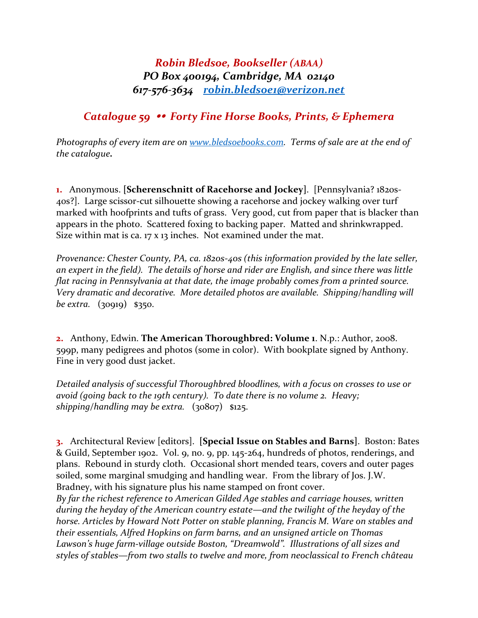## *Robin Bledsoe, Bookseller (ABAA) PO Box 400194, Cambridge, MA 02140 617-576-3634 [robin.bledsoe1@verizon.net](mailto:robin.bledsoe1@verizon.net)*

## *Catalogue 59 Forty Fine Horse Books, Prints, & Ephemera*

*Photographs of every item are on [www.bledsoebooks.com.](http://www.bledsoebooks.com/) Terms of sale are at the end of the catalogue.*

**1.** Anonymous. **[Scherenschnitt of Racehorse and Jockey]**. [Pennsylvania? 1820s-40s?]. Large scissor-cut silhouette showing a racehorse and jockey walking over turf marked with hoofprints and tufts of grass. Very good, cut from paper that is blacker than appears in the photo. Scattered foxing to backing paper. Matted and shrinkwrapped. Size within mat is ca. 17 x 13 inches. Not examined under the mat.

*Provenance: Chester County, PA, ca. 1820s-40s (this information provided by the late seller, an expert in the field). The details of horse and rider are English, and since there was little flat racing in Pennsylvania at that date, the image probably comes from a printed source. Very dramatic and decorative. More detailed photos are available. Shipping/handling will be extra.* (30919) \$350.

**2.** Anthony, Edwin. **The American Thoroughbred: Volume 1**. N.p.: Author, 2008. 599p, many pedigrees and photos (some in color). With bookplate signed by Anthony. Fine in very good dust jacket.

*Detailed analysis of successful Thoroughbred bloodlines, with a focus on crosses to use or avoid (going back to the 19th century). To date there is no volume 2. Heavy; shipping/handling may be extra.* (30807) \$125.

**3.** Architectural Review [editors]. **[Special Issue on Stables and Barns]**. Boston: Bates & Guild, September 1902. Vol. 9, no. 9, pp. 145-264, hundreds of photos, renderings, and plans. Rebound in sturdy cloth. Occasional short mended tears, covers and outer pages soiled, some marginal smudging and handling wear. From the library of Jos. J.W. Bradney, with his signature plus his name stamped on front cover.

*By far the richest reference to American Gilded Age stables and carriage houses, written during the heyday of the American country estate—and the twilight of the heyday of the horse. Articles by Howard Nott Potter on stable planning, Francis M. Ware on stables and their essentials, Alfred Hopkins on farm barns, and an unsigned article on Thomas Lawson's huge farm-village outside Boston, "Dreamwold". Illustrations of all sizes and styles of stables—from two stalls to twelve and more, from neoclassical to French château*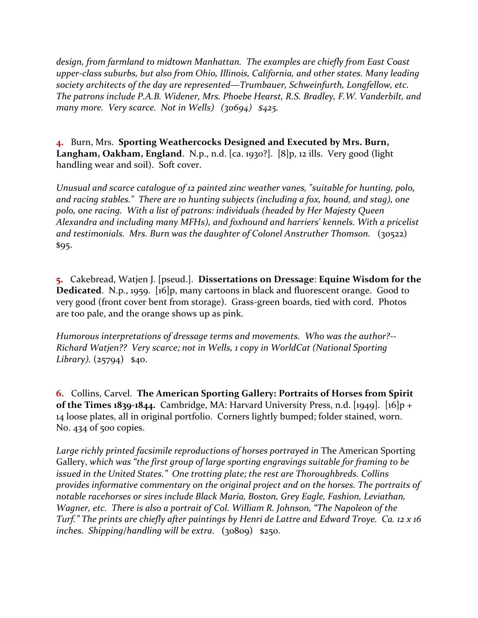*design, from farmland to midtown Manhattan. The examples are chiefly from East Coast upper-class suburbs, but also from Ohio, Illinois, California, and other states. Many leading society architects of the day are represented—Trumbauer, Schweinfurth, Longfellow, etc. The patrons include P.A.B. Widener, Mrs. Phoebe Hearst, R.S. Bradley, F.W. Vanderbilt, and many more. Very scarce. Not in Wells) (30694) \$425.*

**4.** Burn, Mrs. **Sporting Weathercocks Designed and Executed by Mrs. Burn, Langham, Oakham, England**. N.p., n.d. [ca. 1930?]. [8]p, 12 ills. Very good (light handling wear and soil). Soft cover.

*Unusual and scarce catalogue of 12 painted zinc weather vanes, "suitable for hunting, polo, and racing stables." There are 10 hunting subjects (including a fox, hound, and stag), one polo, one racing. With a list of patrons: individuals (headed by Her Majesty Queen Alexandra and including many MFHs), and foxhound and harriers' kennels. With a pricelist and testimonials. Mrs. Burn was the daughter of Colonel Anstruther Thomson.* (30522) \$95.

**5.** Cakebread, Watjen J. [pseud.]. **Dissertations on Dressage**: **Equine Wisdom for the Dedicated**. N.p., 1959. [16]p, many cartoons in black and fluorescent orange. Good to very good (front cover bent from storage). Grass-green boards, tied with cord. Photos are too pale, and the orange shows up as pink.

*Humorous interpretations of dressage terms and movements. Who was the author?-- Richard Watjen?? Very scarce; not in Wells, 1 copy in WorldCat (National Sporting Library).* (25794) \$40.

**6.** Collins, Carvel. **The American Sporting Gallery: Portraits of Horses from Spirit of the Times 1839-1844.** Cambridge, MA: Harvard University Press, n.d. [1949]. [16]p + 14 loose plates, all in original portfolio. Corners lightly bumped; folder stained, worn. No. 434 of 500 copies.

Large richly printed facsimile reproductions of horses portrayed in The American Sporting Gallery, *which was "the first group of large sporting engravings suitable for framing to be issued in the United States." One trotting plate; the rest are Thoroughbreds. Collins provides informative commentary on the original project and on the horses. The portraits of notable racehorses or sires include Black Maria, Boston, Grey Eagle, Fashion, Leviathan, Wagner, etc. There is also a portrait of Col. William R. Johnson, "The Napoleon of the Turf." The prints are chiefly after paintings by Henri de Lattre and Edward Troye. Ca. 12 x 16 inches. Shipping/handling will be extra.* (30809) \$250.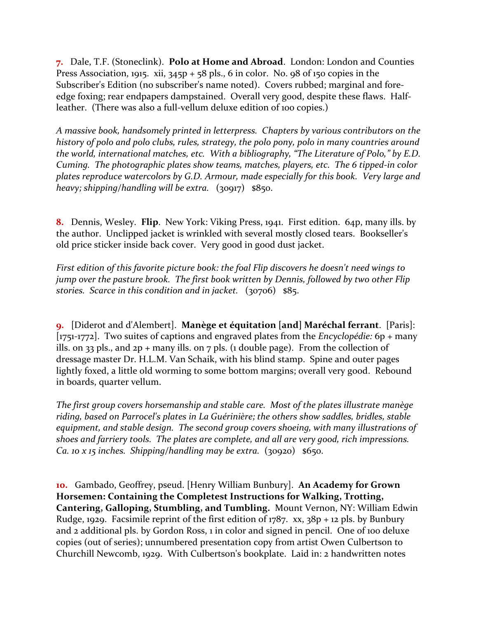**7.** Dale, T.F. (Stoneclink). **Polo at Home and Abroad**. London: London and Counties Press Association, 1915. xii, 345p + 58 pls., 6 in color. No. 98 of 150 copies in the Subscriber's Edition (no subscriber's name noted). Covers rubbed; marginal and foreedge foxing; rear endpapers dampstained. Overall very good, despite these flaws. Halfleather. (There was also a full-vellum deluxe edition of 100 copies.)

*A massive book, handsomely printed in letterpress. Chapters by various contributors on the history of polo and polo clubs, rules, strategy, the polo pony, polo in many countries around the world, international matches, etc. With a bibliography, "The Literature of Polo," by E.D. Cuming. The photographic plates show teams, matches, players, etc. The 6 tipped-in color plates reproduce watercolors by G.D. Armour, made especially for this book. Very large and heavy; shipping/handling will be extra.* (30917) \$850.

**8.** Dennis, Wesley. **Flip**. New York: Viking Press, 1941. First edition. 64p, many ills. by the author. Unclipped jacket is wrinkled with several mostly closed tears. Bookseller's old price sticker inside back cover. Very good in good dust jacket.

*First edition of this favorite picture book: the foal Flip discovers he doesn't need wings to jump over the pasture brook. The first book written by Dennis, followed by two other Flip stories. Scarce in this condition and in jacket.* (30706) \$85.

**9.** [Diderot and d'Alembert]. **Manège et équitation [and] Maréchal ferrant**. [Paris]: [1751-1772]. Two suites of captions and engraved plates from the *Encyclopédie:* 6p + many ills. on 33 pls., and  $2p +$  many ills. on 7 pls. (1 double page). From the collection of dressage master Dr. H.L.M. Van Schaik, with his blind stamp. Spine and outer pages lightly foxed, a little old worming to some bottom margins; overall very good. Rebound in boards, quarter vellum.

*The first group covers horsemanship and stable care. Most of the plates illustrate manège riding, based on Parrocel's plates in La Guérinière; the others show saddles, bridles, stable equipment, and stable design. The second group covers shoeing, with many illustrations of shoes and farriery tools. The plates are complete, and all are very good, rich impressions. Ca. 10 x 15 inches. Shipping/handling may be extra.* (30920) \$650.

**10.** Gambado, Geoffrey, pseud. [Henry William Bunbury]. **An Academy for Grown Horsemen: Containing the Completest Instructions for Walking, Trotting, Cantering, Galloping, Stumbling, and Tumbling.** Mount Vernon, NY: William Edwin Rudge, 1929. Facsimile reprint of the first edition of 1787. xx,  $38p + 12$  pls. by Bunbury and 2 additional pls. by Gordon Ross, 1 in color and signed in pencil. One of 100 deluxe copies (out of series); unnumbered presentation copy from artist Owen Culbertson to Churchill Newcomb, 1929. With Culbertson's bookplate. Laid in: 2 handwritten notes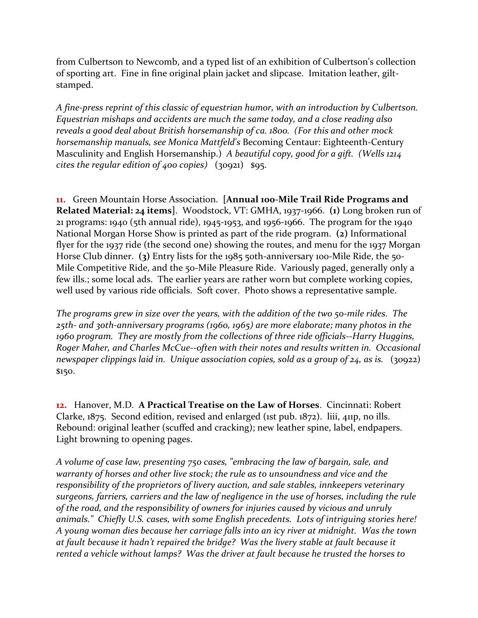from Culbertson to Newcomb, and a typed list of an exhibition of Culbertson's collection of sporting art. Fine in fine original plain jacket and slipcase. Imitation leather, giltstamped.

*A fine-press reprint of this classic of equestrian humor, with an introduction by Culbertson. Equestrian mishaps and accidents are much the same today, and a close reading also reveals a good deal about British horsemanship of ca. 1800. (For this and other mock horsemanship manuals, see Monica Mattfeld's* Becoming Centaur: Eighteenth-Century Masculinity and English Horsemanship.) *A beautiful copy, good for a gift. (Wells 1214 cites the regular edition of 400 copies)* (30921) \$95.

**11.** Green Mountain Horse Association. **[Annual 100-Mile Trail Ride Programs and Related Material: 24 items]**. Woodstock, VT: GMHA, 1937-1966. **(1)** Long broken run of 21 programs: 1940 (5th annual ride), 1945-1953, and 1956-1966. The program for the 1940 National Morgan Horse Show is printed as part of the ride program. **(2)** Informational flyer for the 1937 ride (the second one) showing the routes, and menu for the 1937 Morgan Horse Club dinner. **(3)** Entry lists for the 1985 50th-anniversary 100-Mile Ride, the 50-Mile Competitive Ride, and the 50-Mile Pleasure Ride. Variously paged, generally only a few ills.; some local ads. The earlier years are rather worn but complete working copies, well used by various ride officials. Soft cover. Photo shows a representative sample.

*The programs grew in size over the years, with the addition of the two 50-mile rides. The 25th- and 30th-anniversary programs (1960, 1965) are more elaborate; many photos in the 1960 program. They are mostly from the collections of three ride officials--Harry Huggins, Roger Maher, and Charles McCue--often with their notes and results written in. Occasional newspaper clippings laid in. Unique association copies, sold as a group of 24, as is.* (30922) \$150.

**12.** Hanover, M.D. **A Practical Treatise on the Law of Horses**. Cincinnati: Robert Clarke, 1875. Second edition, revised and enlarged (1st pub. 1872). liii, 411p, no ills. Rebound: original leather (scuffed and cracking); new leather spine, label, endpapers. Light browning to opening pages.

*A volume of case law, presenting 750 cases, "embracing the law of bargain, sale, and warranty of horses and other live stock; the rule as to unsoundness and vice and the responsibility of the proprietors of livery auction, and sale stables, innkeepers veterinary surgeons, farriers, carriers and the law of negligence in the use of horses, including the rule of the road, and the responsibility of owners for injuries caused by vicious and unruly animals." Chiefly U.S. cases, with some English precedents. Lots of intriguing stories here! A young woman dies because her carriage falls into an icy river at midnight. Was the town at fault because it hadn't repaired the bridge? Was the livery stable at fault because it rented a vehicle without lamps? Was the driver at fault because he trusted the horses to*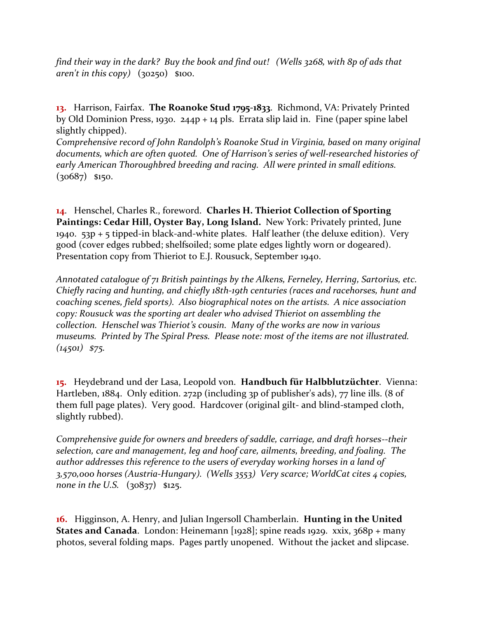*find their way in the dark? Buy the book and find out! (Wells 3268, with 8p of ads that aren't in this copy)* (30250) \$100.

**13.** Harrison, Fairfax. **The Roanoke Stud 1795-1833**. Richmond, VA: Privately Printed by Old Dominion Press, 1930. 244p + 14 pls. Errata slip laid in. Fine (paper spine label slightly chipped).

*Comprehensive record of John Randolph's Roanoke Stud in Virginia, based on many original documents, which are often quoted. One of Harrison's series of well-researched histories of early American Thoroughbred breeding and racing.**All were printed in small editions.* (30687) \$150.

**14**. Henschel, Charles R., foreword. **Charles H. Thieriot Collection of Sporting Paintings: Cedar Hill, Oyster Bay, Long Island.** New York: Privately printed, June 1940. 53p + 5 tipped-in black-and-white plates. Half leather (the deluxe edition). Very good (cover edges rubbed; shelfsoiled; some plate edges lightly worn or dogeared). Presentation copy from Thieriot to E.J. Rousuck, September 1940.

*Annotated catalogue of 71 British paintings by the Alkens, Ferneley, Herring, Sartorius, etc. Chiefly racing and hunting, and chiefly 18th-19th centuries (races and racehorses, hunt and coaching scenes, field sports). Also biographical notes on the artists. A nice association copy: Rousuck was the sporting art dealer who advised Thieriot on assembling the collection. Henschel was Thieriot's cousin. Many of the works are now in various museums. Printed by The Spiral Press. Please note: most of the items are not illustrated. (14501) \$75.*

**15.** Heydebrand und der Lasa, Leopold von. **Handbuch für Halbblutzüchter**. Vienna: Hartleben, 1884. Only edition. 272p (including 3p of publisher's ads), 77 line ills. (8 of them full page plates). Very good. Hardcover (original gilt- and blind-stamped cloth, slightly rubbed).

*Comprehensive guide for owners and breeders of saddle, carriage, and draft horses--their selection, care and management, leg and hoof care, ailments, breeding, and foaling. The author addresses this reference to the users of everyday working horses in a land of 3,570,000 horses (Austria-Hungary). (Wells 3553) Very scarce; WorldCat cites 4 copies, none in the U.S.* (30837) \$125.

**16.** Higginson, A. Henry, and Julian Ingersoll Chamberlain. **Hunting in the United States and Canada.** London: Heinemann [1928]; spine reads 1929. xxix, 368p + many photos, several folding maps. Pages partly unopened. Without the jacket and slipcase.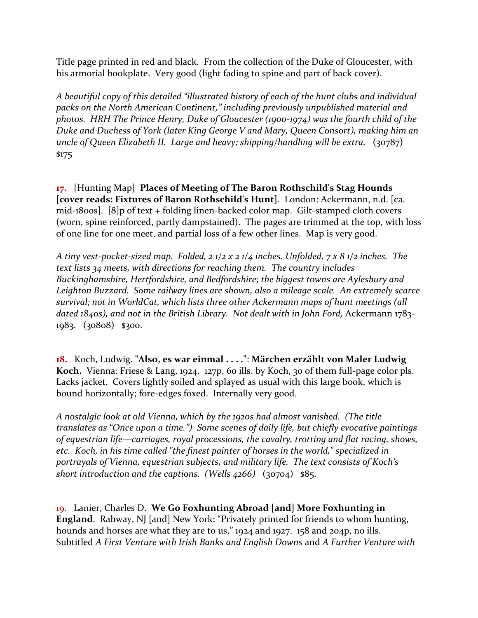Title page printed in red and black. From the collection of the Duke of Gloucester, with his armorial bookplate. Very good (light fading to spine and part of back cover).

*A beautiful copy of this detailed "illustrated history of each of the hunt clubs and individual packs on the North American Continent," including previously unpublished material and photos. HRH The Prince Henry, Duke of Gloucester (1900-1974) was the fourth child of the Duke and Duchess of York (later King George V and Mary, Queen Consort), making him an uncle of Queen Elizabeth II. Large and heavy; shipping/handling will be extra.* (30787) \$175

**17.** [Hunting Map] **Places of Meeting of The Baron Rothschild's Stag Hounds [cover reads: Fixtures of Baron Rothschild's Hunt]**. London: Ackermann, n.d. [ca. mid-1800s]. [8]p of text + folding linen-backed color map. Gilt-stamped cloth covers (worn, spine reinforced, partly dampstained). The pages are trimmed at the top, with loss of one line for one meet, and partial loss of a few other lines. Map is very good.

*A tiny vest-pocket-sized map. Folded, 2 1/2 x 2 1/4 inches. Unfolded, 7 x 8 1/2 inches. The text lists 34 meets, with directions for reaching them. The country includes Buckinghamshire, Hertfordshire, and Bedfordshire; the biggest towns are Aylesbury and Leighton Buzzard. Some railway lines are shown, also a mileage scale. An extremely scarce survival; not in WorldCat, which lists three other Ackermann maps of hunt meetings (all*  dated 1840s), and not in the British Library. Not dealt with in John Ford, Ackermann 1783-1983. (30808) \$300.

**18.** Koch, Ludwig. **"Also, es war einmal . . . ."**: **Märchen erzählt von Maler Ludwig Koch.** Vienna: Friese & Lang, 1924. 127p, 60 ills. by Koch, 30 of them full-page color pls. Lacks jacket. Covers lightly soiled and splayed as usual with this large book, which is bound horizontally; fore-edges foxed. Internally very good.

*A nostalgic look at old Vienna, which by the 1920s had almost vanished. (The title translates as "Once upon a time.") Some scenes of daily life, but chiefly evocative paintings of equestrian life—carriages, royal processions, the cavalry, trotting and flat racing, shows, etc. Koch, in his time called "the finest painter of horses in the world," specialized in portrayals of Vienna, equestrian subjects, and military life. The text consists of Koch's short introduction and the captions. (Wells 4266)* (30704) \$85.

19. Lanier, Charles D. **We Go Foxhunting Abroad [and] More Foxhunting in England**. Rahway, NJ [and] New York: "Privately printed for friends to whom hunting, hounds and horses are what they are to us," 1924 and 1927. 158 and 204p, no ills. Subtitled *A First Venture with Irish Banks and English Downs* and *A Further Venture with*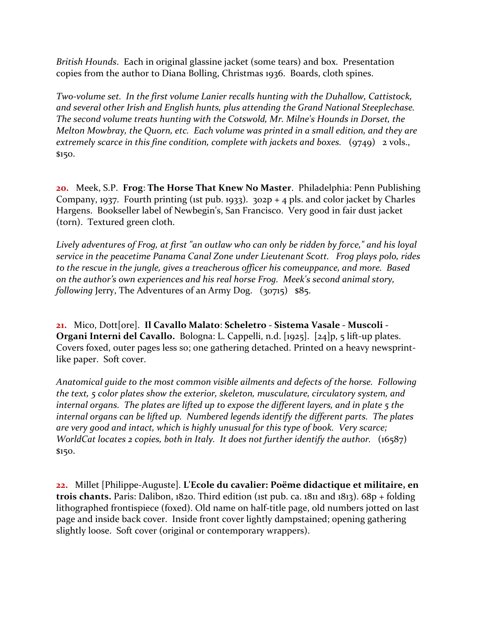*British Hounds*. Each in original glassine jacket (some tears) and box. Presentation copies from the author to Diana Bolling, Christmas 1936. Boards, cloth spines.

*Two-volume set. In the first volume Lanier recalls hunting with the Duhallow, Cattistock, and several other Irish and English hunts, plus attending the Grand National Steeplechase. The second volume treats hunting with the Cotswold, Mr. Milne's Hounds in Dorset, the Melton Mowbray, the Quorn, etc. Each volume was printed in a small edition, and they are extremely scarce in this fine condition, complete with jackets and boxes.* (9749) 2 vols., \$150.

**20.** Meek, S.P. **Frog**: **The Horse That Knew No Master**. Philadelphia: Penn Publishing Company, 1937. Fourth printing (1st pub. 1933).  $302p + 4$  pls. and color jacket by Charles Hargens. Bookseller label of Newbegin's, San Francisco. Very good in fair dust jacket (torn). Textured green cloth.

*Lively adventures of Frog, at first "an outlaw who can only be ridden by force," and his loyal service in the peacetime Panama Canal Zone under Lieutenant Scott. Frog plays polo, rides to the rescue in the jungle, gives a treacherous officer his comeuppance, and more. Based on the author's own experiences and his real horse Frog. Meek's second animal story, following Jerry*, The Adventures of an Army Dog. (30715) \$85.

**21.** Mico, Dott[ore]. **Il Cavallo Malato**: **Scheletro - Sistema Vasale - Muscoli - Organi Interni del Cavallo.** Bologna: L. Cappelli, n.d. [1925]. [24]p, 5 lift-up plates. Covers foxed, outer pages less so; one gathering detached. Printed on a heavy newsprintlike paper. Soft cover.

*Anatomical guide to the most common visible ailments and defects of the horse. Following the text, 5 color plates show the exterior, skeleton, musculature, circulatory system, and internal organs. The plates are lifted up to expose the different layers, and in plate 5 the internal organs can be lifted up. Numbered legends identify the different parts. The plates are very good and intact, which is highly unusual for this type of book. Very scarce; WorldCat locates 2 copies, both in Italy. It does not further identify the author.* (16587) \$150.

**22.** Millet [Philippe-Auguste]. **L'Ecole du cavalier: Poëme didactique et militaire, en trois chants.** Paris: Dalibon, 1820. Third edition (1st pub. ca. 1811 and 1813). 68p + folding lithographed frontispiece (foxed). Old name on half-title page, old numbers jotted on last page and inside back cover. Inside front cover lightly dampstained; opening gathering slightly loose. Soft cover (original or contemporary wrappers).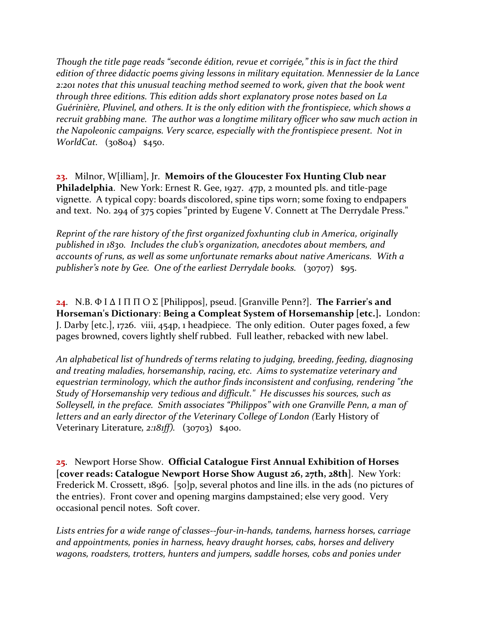*Though the title page reads "seconde édition, revue et corrigée," this is in fact the third edition of three didactic poems giving lessons in military equitation. Mennessier de la Lance 2:201 notes that this unusual teaching method seemed to work, given that the book went through three editions. This edition adds short explanatory prose notes based on La Guérinière, Pluvinel, and others. It is the only edition with the frontispiece, which shows a recruit grabbing mane. The author was a longtime military officer who saw much action in the Napoleonic campaigns. Very scarce, especially with the frontispiece present. Not in WorldCat.* (30804) \$450.

**23.** Milnor, W[illiam], Jr. **Memoirs of the Gloucester Fox Hunting Club near Philadelphia**. New York: Ernest R. Gee, 1927. 47p, 2 mounted pls. and title-page vignette. A typical copy: boards discolored, spine tips worn; some foxing to endpapers and text. No. 294 of 375 copies "printed by Eugene V. Connett at The Derrydale Press."

*Reprint of the rare history of the first organized foxhunting club in America, originally published in 1830. Includes the club's organization, anecdotes about members, and accounts of runs, as well as some unfortunate remarks about native Americans. With a publisher's note by Gee. One of the earliest Derrydale books.* (30707) \$95.

**24**. N.B. Φ Ι Δ Ι Π Π Ο Σ [Philippos], pseud. [Granville Penn?]. **The Farrier's and Horseman's Dictionary**: **Being a Compleat System of Horsemanship [etc.].** London: J. Darby [etc.], 1726. viii, 454p, 1 headpiece. The only edition. Outer pages foxed, a few pages browned, covers lightly shelf rubbed. Full leather, rebacked with new label.

*An alphabetical list of hundreds of terms relating to judging, breeding, feeding, diagnosing and treating maladies, horsemanship, racing, etc. Aims to systematize veterinary and equestrian terminology, which the author finds inconsistent and confusing, rendering "the Study of Horsemanship very tedious and difficult." He discusses his sources, such as Solleysell, in the preface. Smith associates "Philippos" with one Granville Penn, a man of letters and an early director of the Veterinary College of London (*Early History of Veterinary Literature*, 2:181ff).* (30703) \$400.

**25**. Newport Horse Show. **Official Catalogue First Annual Exhibition of Horses [cover reads: Catalogue Newport Horse Show August 26, 27th, 28th]**. New York: Frederick M. Crossett, 1896. [50]p, several photos and line ills. in the ads (no pictures of the entries). Front cover and opening margins dampstained; else very good. Very occasional pencil notes. Soft cover.

*Lists entries for a wide range of classes--four-in-hands, tandems, harness horses, carriage and appointments, ponies in harness, heavy draught horses, cabs, horses and delivery wagons, roadsters, trotters, hunters and jumpers, saddle horses, cobs and ponies under*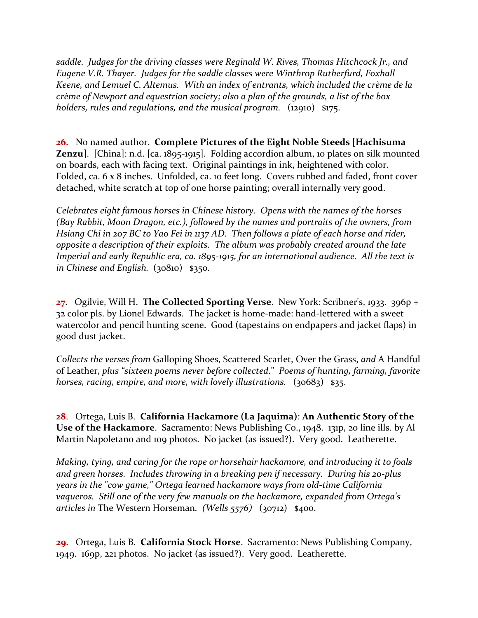*saddle. Judges for the driving classes were Reginald W. Rives, Thomas Hitchcock Jr., and Eugene V.R. Thayer. Judges for the saddle classes were Winthrop Rutherfurd, Foxhall Keene, and Lemuel C. Altemus. With an index of entrants, which included the crème de la crème of Newport and equestrian society; also a plan of the grounds, a list of the box holders, rules and regulations, and the musical program.* (12910) \$175.

**26.** No named author. **Complete Pictures of the Eight Noble Steeds [Hachisuma Zenzu]**. [China]: n.d. [ca. 1895-1915]. Folding accordion album, 10 plates on silk mounted on boards, each with facing text. Original paintings in ink, heightened with color. Folded, ca. 6 x 8 inches. Unfolded, ca. 10 feet long. Covers rubbed and faded, front cover detached, white scratch at top of one horse painting; overall internally very good.

*Celebrates eight famous horses in Chinese history. Opens with the names of the horses (Bay Rabbit, Moon Dragon, etc.), followed by the names and portraits of the owners, from Hsiang Chi in 207 BC to Yao Fei in 1137 AD. Then follows a plate of each horse and rider, opposite a description of their exploits. The album was probably created around the late Imperial and early Republic era, ca. 1895-1915, for an international audience. All the text is in Chinese and English.* (30810) \$350.

**27**. Ogilvie, Will H. **The Collected Sporting Verse**. New York: Scribner's, 1933. 396p + 32 color pls. by Lionel Edwards. The jacket is home-made: hand-lettered with a sweet watercolor and pencil hunting scene. Good (tapestains on endpapers and jacket flaps) in good dust jacket.

*Collects the verses from* Galloping Shoes, Scattered Scarlet, Over the Grass, *and* A Handful of Leather, *plus "sixteen poems never before collected*." *Poems of hunting, farming, favorite horses, racing, empire, and more, with lovely illustrations.* (30683) \$35.

**28**. Ortega, Luis B. **California Hackamore (La Jaquima)**: **An Authentic Story of the Use of the Hackamore**. Sacramento: News Publishing Co., 1948. 131p, 20 line ills. by Al Martin Napoletano and 109 photos. No jacket (as issued?). Very good. Leatherette.

*Making, tying, and caring for the rope or horsehair hackamore, and introducing it to foals and green horses. Includes throwing in a breaking pen if necessary. During his 20-plus years in the "cow game," Ortega learned hackamore ways from old-time California vaqueros. Still one of the very few manuals on the hackamore, expanded from Ortega's articles in* The Western Horseman*. (Wells 5576)* (30712) \$400.

**29.** Ortega, Luis B. **California Stock Horse**. Sacramento: News Publishing Company, 1949. 169p, 221 photos. No jacket (as issued?). Very good. Leatherette.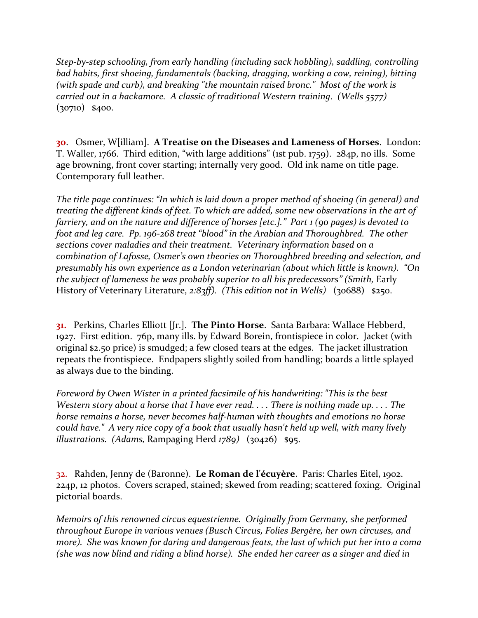*Step-by-step schooling, from early handling (including sack hobbling), saddling, controlling bad habits, first shoeing, fundamentals (backing, dragging, working a cow, reining), bitting (with spade and curb), and breaking "the mountain raised bronc." Most of the work is carried out in a hackamore. A classic of traditional Western training*. *(Wells 5577)* (30710) \$400.

**30**. Osmer, W[illiam]. **A Treatise on the Diseases and Lameness of Horses**. London: T. Waller, 1766. Third edition, "with large additions" (1st pub. 1759). 284p, no ills. Some age browning, front cover starting; internally very good. Old ink name on title page. Contemporary full leather.

*The title page continues: "In which is laid down a proper method of shoeing (in general) and treating the different kinds of feet. To which are added, some new observations in the art of farriery, and on the nature and difference of horses [etc.]." Part 1 (90 pages) is devoted to foot and leg care. Pp. 196-268 treat "blood" in the Arabian and Thoroughbred. The other sections cover maladies and their treatment. Veterinary information based on a combination of Lafosse, Osmer's own theories on Thoroughbred breeding and selection, and presumably his own experience as a London veterinarian (about which little is known). "On the subject of lameness he was probably superior to all his predecessors" (Smith,* Early History of Veterinary Literature, *2:83ff). (This edition not in Wells)* (30688) \$250.

**31.** Perkins, Charles Elliott [Jr.]. **The Pinto Horse**. Santa Barbara: Wallace Hebberd, 1927. First edition. 76p, many ills. by Edward Borein, frontispiece in color. Jacket (with original \$2.50 price) is smudged; a few closed tears at the edges. The jacket illustration repeats the frontispiece. Endpapers slightly soiled from handling; boards a little splayed as always due to the binding.

*Foreword by Owen Wister in a printed facsimile of his handwriting: "This is the best Western story about a horse that I have ever read. . . . There is nothing made up. . . . The horse remains a horse, never becomes half-human with thoughts and emotions no horse could have." A very nice copy of a book that usually hasn't held up well, with many lively illustrations. (Adams,* Rampaging Herd *1789)* (30426) \$95.

32. Rahden, Jenny de (Baronne). **Le Roman de l'écuyère**. Paris: Charles Eitel, 1902. 224p, 12 photos. Covers scraped, stained; skewed from reading; scattered foxing. Original pictorial boards.

*Memoirs of this renowned circus equestrienne. Originally from Germany, she performed throughout Europe in various venues (Busch Circus, Folies Bergère, her own circuses, and more). She was known for daring and dangerous feats, the last of which put her into a coma (she was now blind and riding a blind horse). She ended her career as a singer and died in*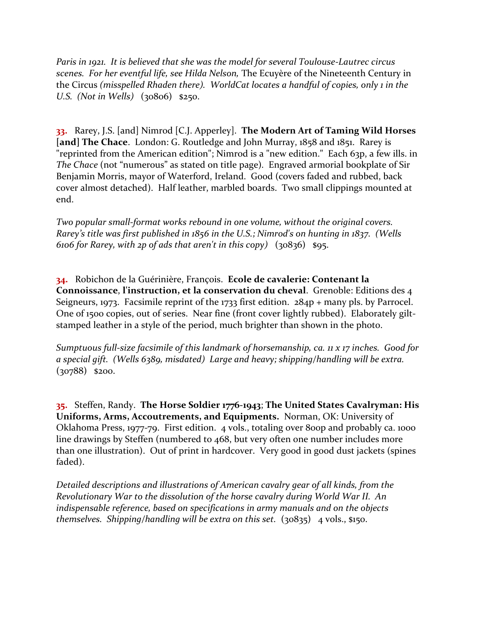*Paris in 1921. It is believed that she was the model for several Toulouse-Lautrec circus scenes. For her eventful life, see Hilda Nelson,* The Ecuyère of the Nineteenth Century in the Circus *(misspelled Rhaden there). WorldCat locates a handful of copies, only 1 in the U.S. (Not in Wells)* (30806) \$250.

**33.** Rarey, J.S. [and] Nimrod [C.J. Apperley]. **The Modern Art of Taming Wild Horses**  [and] The Chace. London: G. Routledge and John Murray, 1858 and 1851. Rarey is "reprinted from the American edition"; Nimrod is a "new edition." Each 63p, a few ills. in *The Chace* (not "numerous" as stated on title page)*.* Engraved armorial bookplate of Sir Benjamin Morris, mayor of Waterford, Ireland. Good (covers faded and rubbed, back cover almost detached). Half leather, marbled boards. Two small clippings mounted at end.

*Two popular small-format works rebound in one volume, without the original covers. Rarey's title was first published in 1856 in the U.S.; Nimrod's on hunting in 1837. (Wells 6106 for Rarey, with 2p of ads that aren't in this copy)* (30836) \$95.

**34.** Robichon de la Guérinière, François. **Ecole de cavalerie: Contenant la Connoissance**, **l'instruction, et la conservation du cheval**. Grenoble: Editions des 4 Seigneurs, 1973. Facsimile reprint of the 1733 first edition. 284p + many pls. by Parrocel. One of 1500 copies, out of series. Near fine (front cover lightly rubbed). Elaborately giltstamped leather in a style of the period, much brighter than shown in the photo.

*Sumptuous full-size facsimile of this landmark of horsemanship, ca. 11 x 17 inches. Good for a special gift. (Wells 6389, misdated) Large and heavy; shipping/handling will be extra.*  (30788) \$200.

**35.** Steffen, Randy. **The Horse Soldier 1776-1943**; **The United States Cavalryman: His Uniforms, Arms, Accoutrements, and Equipments.** Norman, OK: University of Oklahoma Press, 1977-79. First edition. 4 vols., totaling over 800p and probably ca. 1000 line drawings by Steffen (numbered to 468, but very often one number includes more than one illustration). Out of print in hardcover. Very good in good dust jackets (spines faded).

*Detailed descriptions and illustrations of American cavalry gear of all kinds, from the Revolutionary War to the dissolution of the horse cavalry during World War II. An indispensable reference, based on specifications in army manuals and on the objects themselves. Shipping/handling will be extra on this set.* (30835) 4 vols., \$150.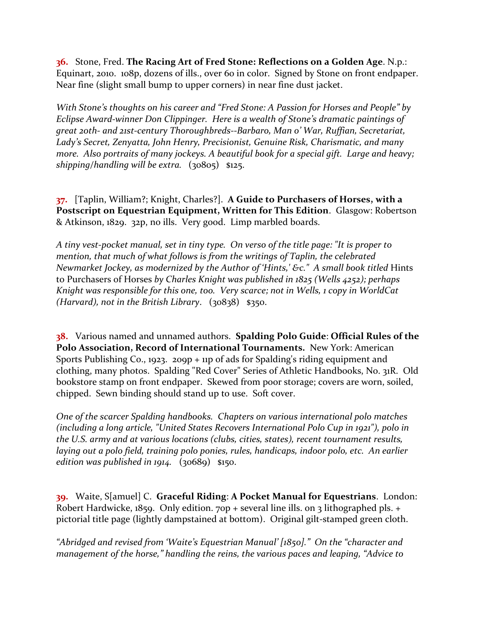**36.** Stone, Fred. **The Racing Art of Fred Stone: Reflections on a Golden Age**. N.p.: Equinart, 2010. 108p, dozens of ills., over 60 in color. Signed by Stone on front endpaper. Near fine (slight small bump to upper corners) in near fine dust jacket.

*With Stone's thoughts on his career and "Fred Stone: A Passion for Horses and People" by Eclipse Award-winner Don Clippinger. Here is a wealth of Stone's dramatic paintings of great 20th- and 21st-century Thoroughbreds--Barbaro, Man o' War, Ruffian, Secretariat, Lady's Secret, Zenyatta, John Henry, Precisionist, Genuine Risk, Charismatic, and many more. Also portraits of many jockeys. A beautiful book for a special gift. Large and heavy; shipping/handling will be extra.* (30805) \$125.

**37.** [Taplin, William?; Knight, Charles?]. **A Guide to Purchasers of Horses, with a Postscript on Equestrian Equipment, Written for This Edition**. Glasgow: Robertson & Atkinson, 1829. 32p, no ills. Very good. Limp marbled boards.

*A tiny vest-pocket manual, set in tiny type. On verso of the title page: "It is proper to mention, that much of what follows is from the writings of Taplin, the celebrated Newmarket Jockey, as modernized by the Author of 'Hints,' &c." A small book titled* Hints to Purchasers of Horses *by Charles Knight was published in 1825 (Wells 4252); perhaps Knight was responsible for this one, too. Very scarce; not in Wells, 1 copy in WorldCat (Harvard), not in the British Library*. (30838) \$350.

**38.** Various named and unnamed authors. **Spalding Polo Guide**: **Official Rules of the Polo Association, Record of International Tournaments.** New York: American Sports Publishing Co., 1923. 209p + 11p of ads for Spalding's riding equipment and clothing, many photos. Spalding "Red Cover" Series of Athletic Handbooks, No. 31R. Old bookstore stamp on front endpaper. Skewed from poor storage; covers are worn, soiled, chipped. Sewn binding should stand up to use. Soft cover.

*One of the scarcer Spalding handbooks. Chapters on various international polo matches (including a long article, "United States Recovers International Polo Cup in 1921"), polo in the U.S. army and at various locations (clubs, cities, states), recent tournament results, laying out a polo field, training polo ponies, rules, handicaps, indoor polo, etc. An earlier edition was published in 1914.* (30689) \$150.

**39.** Waite, S[amuel] C. **Graceful Riding**: **A Pocket Manual for Equestrians**. London: Robert Hardwicke, 1859. Only edition. 70p + several line ills. on 3 lithographed pls. + pictorial title page (lightly dampstained at bottom). Original gilt-stamped green cloth.

*"Abridged and revised from 'Waite's Equestrian Manual' [1850]." On the "character and management of the horse," handling the reins, the various paces and leaping, "Advice to*